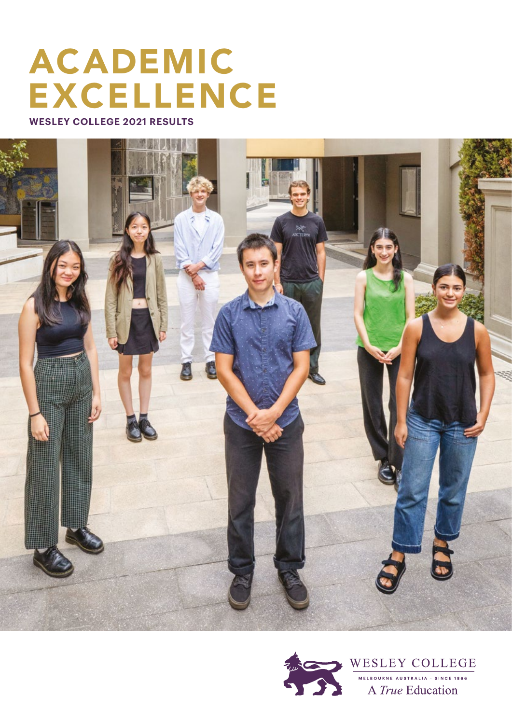## ACADEMIC EXCELLENCE

**WESLEY COLLEGE 2021 RESULTS**



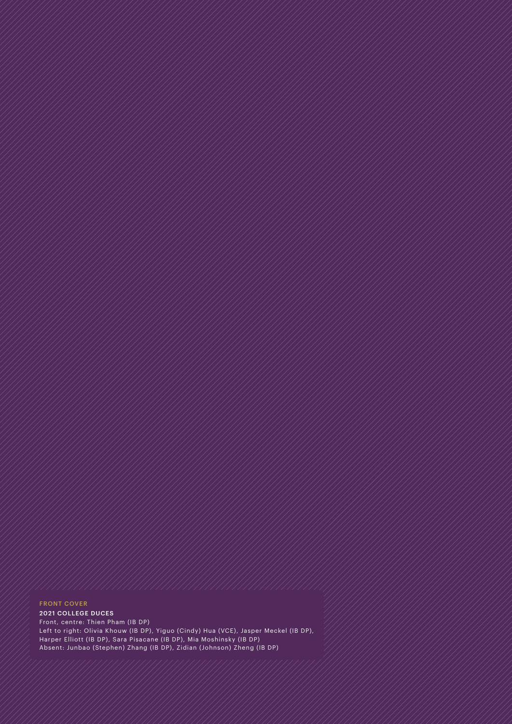## FRONT COVER

2021 COLLEGE DUCES Front, centre: Thien Pham (IB DP) Left to right: Olivia Khouw (IB DP), Yiguo (Cindy) Hua (VCE), Jasper Meckel (IB DP), Harper Elliott (IB DP), Sara Pisacane (IB DP), Mia Moshinsky (IB DP) Absent: Junbao (Stephen) Zhang (IB DP), Zidian (Johnson) Zheng (IB DP)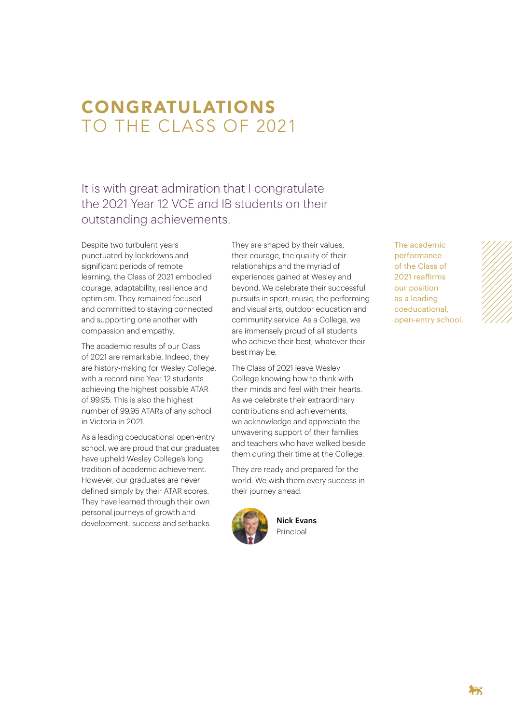## CONGRATULATIONS TO THE CLASS OF 2021

It is with great admiration that I congratulate the 2021 Year 12 VCE and IB students on their outstanding achievements.

Despite two turbulent years punctuated by lockdowns and significant periods of remote learning, the Class of 2021 embodied courage, adaptability, resilience and optimism. They remained focused and committed to staying connected and supporting one another with compassion and empathy.

The academic results of our Class of 2021 are remarkable. Indeed, they are history-making for Wesley College, with a record nine Year 12 students achieving the highest possible ATAR of 99.95. This is also the highest number of 99.95 ATARs of any school in Victoria in 2021.

As a leading coeducational open-entry school, we are proud that our graduates have upheld Wesley College's long tradition of academic achievement. However, our graduates are never defined simply by their ATAR scores. They have learned through their own personal journeys of growth and development, success and setbacks.

They are shaped by their values, their courage, the quality of their relationships and the myriad of experiences gained at Wesley and beyond. We celebrate their successful pursuits in sport, music, the performing and visual arts, outdoor education and community service. As a College, we are immensely proud of all students who achieve their best, whatever their best may be.

The Class of 2021 leave Wesley College knowing how to think with their minds and feel with their hearts. As we celebrate their extraordinary contributions and achievements, we acknowledge and appreciate the unwavering support of their families and teachers who have walked beside them during their time at the College.

They are ready and prepared for the world. We wish them every success in their journey ahead.



Nick Evans Principal

The academic performance of the Class of 2021 reaffirms our position as a leading coeducational, open-entry school.

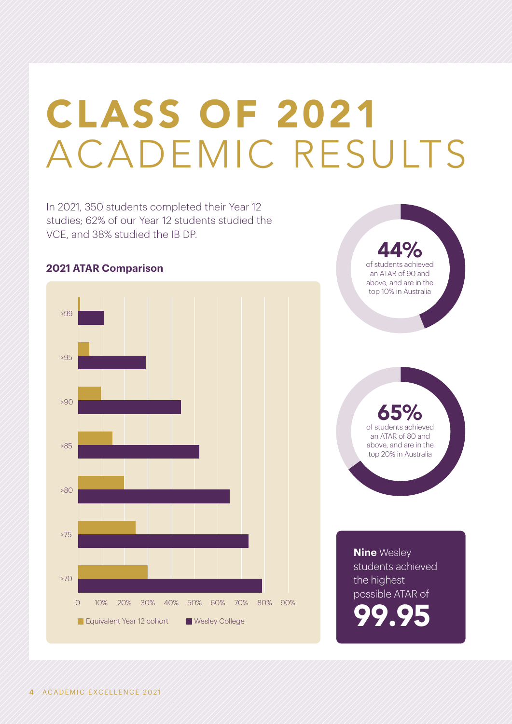# CLASS OF 2021 ACADEMIC RESULTS

In 2021, 350 students completed their Year 12 studies; 62% of our Year 12 students studied the VCE, and 38% studied the IB DP.

# 0 10% 30% 50% 20% 40% 60% 70% 80% 90% >99 >95 >90 >85 >80 >70 >75 **Equivalent Year 12 cohort Wesley College**

**2021 ATAR Comparison**

44% of students achieved an ATAR of 90 and above, and are in the top 10% in Australia

65% of students achieved an ATAR of 80 and above, and are in the top 20% in Australia

**Nine** Wesley students achieved the highest possible ATAR of 99.95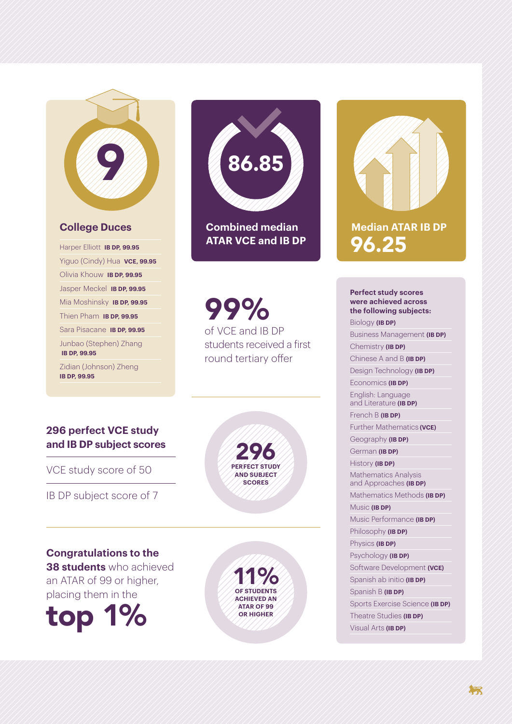## **College Duces**

9

Harper Elliott **IB DP, 99.95** Yiguo (Cindy) Hua **VCE, 99.95** Olivia Khouw **IB DP, 99.95** Jasper Meckel **IB DP, 99.95** Mia Moshinsky **IB DP, 99.95** Thien Pham **IB DP, 99.95** Sara Pisacane **IB DP, 99.95** Junbao (Stephen) Zhang **IB DP, 99.95** Zidian (Johnson) Zheng **IB DP, 99.95**

# **Combined median ATAR VCE and IB DP** 86.85

99% of VCE and IB DP students received a first round tertiary offer

## **296 perfect VCE study and IB DP subject scores**

VCE study score of 50

IB DP subject score of 7

**Congratulations to the 38 students** who achieved an ATAR of 99 or higher, placing them in the





**11% ACHIEVED AN ATAR OF 99 OR HIGHER**



## **Perfect study scores were achieved across the following subjects:**

Biology **(IB DP)** Business Management **(IB DP)** Chemistry **(IB DP)**

Chinese A and B **(IB DP)**

Design Technology **(IB DP)**

Economics **(IB DP)** English: Language and Literature **(IB DP)**

French B **(IB DP)** Further Mathematics **(VCE)**

Geography **(IB DP)** German **(IB DP)**

History **(IB DP)**

Mathematics Analysis and Approaches **(IB DP)** Mathematics Methods **(IB DP)**

Music **(IB DP)**

Music Performance **(IB DP)**

Philosophy **(IB DP)**

Physics **(IB DP)**

Psychology **(IB DP)**

Software Development (VCE) Spanish ab initio **(IB DP)**

Spanish B **(IB DP)**

Sports Exercise Science **(IB DP)** Theatre Studies **(IB DP)**

Visual Arts **(IB DP)**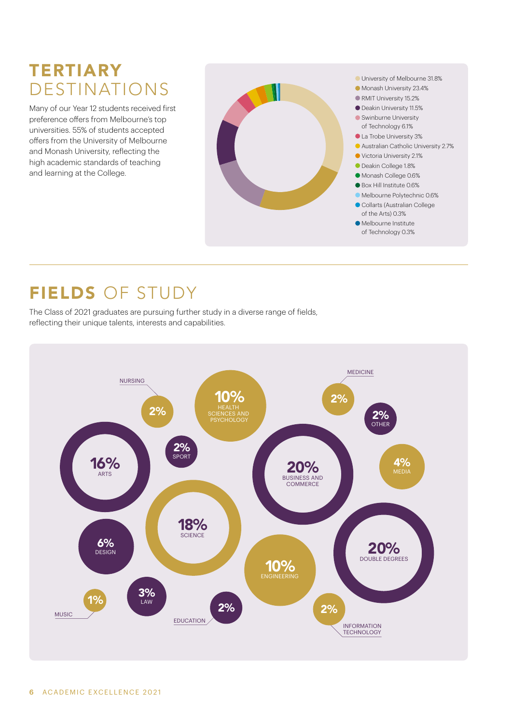## **TERTIARY** DESTINATIONS

Many of our Year 12 students received first preference offers from Melbourne's top universities. 55% of students accepted offers from the University of Melbourne and Monash University, reflecting the high academic standards of teaching and learning at the College.





## FIELDS OF STUDY

The Class of 2021 graduates are pursuing further study in a diverse range of fields, reflecting their unique talents, interests and capabilities.

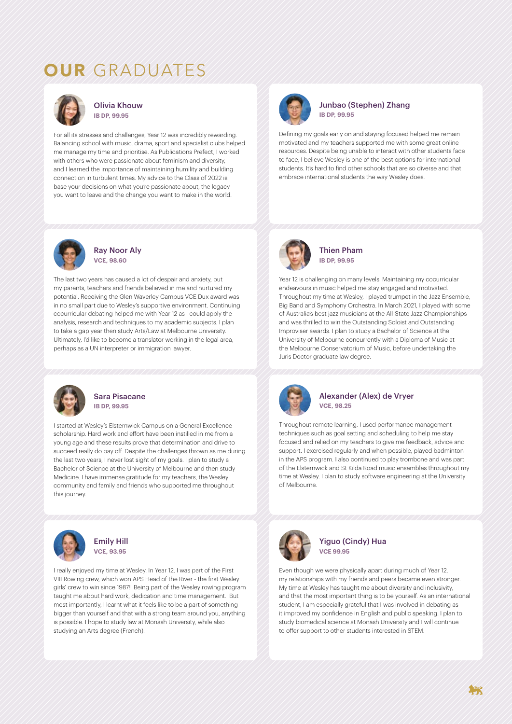## OUR GRADUATES



Olivia Khouw **IB DP, 99.95**

For all its stresses and challenges, Year 12 was incredibly rewarding. Balancing school with music, drama, sport and specialist clubs helped me manage my time and prioritise. As Publications Prefect, I worked with others who were passionate about feminism and diversity, and I learned the importance of maintaining humility and building connection in turbulent times. My advice to the Class of 2022 is base your decisions on what you're passionate about, the legacy you want to leave and the change you want to make in the world.



#### Ray Noor Aly **VCE, 98.60**

The last two years has caused a lot of despair and anxiety, but my parents, teachers and friends believed in me and nurtured my potential. Receiving the Glen Waverley Campus VCE Dux award was in no small part due to Wesley's supportive environment. Continuing cocurricular debating helped me with Year 12 as I could apply the analysis, research and techniques to my academic subjects. I plan to take a gap year then study Arts/Law at Melbourne University. Ultimately, I'd like to become a translator working in the legal area, perhaps as a UN interpreter or immigration lawyer.



#### Sara Pisacane **IB DP, 99.95**

I started at Wesley's Elsternwick Campus on a General Excellence scholarship. Hard work and effort have been instilled in me from a young age and these results prove that determination and drive to succeed really do pay off. Despite the challenges thrown as me during the last two years, I never lost sight of my goals. I plan to study a Bachelor of Science at the University of Melbourne and then study Medicine. I have immense gratitude for my teachers, the Wesley community and family and friends who supported me throughout this journey.



### Emily Hill **VCE, 93.95**

I really enjoyed my time at Wesley. In Year 12, I was part of the First VIII Rowing crew, which won APS Head of the River - the first Wesley girls' crew to win since 1987! Being part of the Wesley rowing program taught me about hard work, dedication and time management. But most importantly, I learnt what it feels like to be a part of something bigger than yourself and that with a strong team around you, anything is possible. I hope to study law at Monash University, while also studying an Arts degree (French).



#### Junbao (Stephen) Zhang **IB DP, 99.95**

Defining my goals early on and staying focused helped me remain motivated and my teachers supported me with some great online resources. Despite being unable to interact with other students face to face, I believe Wesley is one of the best options for international students. It's hard to find other schools that are so diverse and that embrace international students the way Wesley does.



Thien Pham **IB DP, 99.95**

Year 12 is challenging on many levels. Maintaining my cocurricular endeavours in music helped me stay engaged and motivated. Throughout my time at Wesley, I played trumpet in the Jazz Ensemble, Big Band and Symphony Orchestra. In March 2021, I played with some of Australia's best jazz musicians at the All-State Jazz Championships and was thrilled to win the Outstanding Soloist and Outstanding Improviser awards. I plan to study a Bachelor of Science at the University of Melbourne concurrently with a Diploma of Music at the Melbourne Conservatorium of Music, before undertaking the Juris Doctor graduate law degree.



### Alexander (Alex) de Vryer **VCE, 98.25**

Throughout remote learning, I used performance management techniques such as goal setting and scheduling to help me stay focused and relied on my teachers to give me feedback, advice and support. I exercised regularly and when possible, played badminton in the APS program. I also continued to play trombone and was part of the Elsternwick and St Kilda Road music ensembles throughout my time at Wesley. I plan to study software engineering at the University of Melbourne.



Yiguo (Cindy) Hua **VCE 99.95**

Even though we were physically apart during much of Year 12, my relationships with my friends and peers became even stronger. My time at Wesley has taught me about diversity and inclusivity, and that the most important thing is to be yourself. As an international student, I am especially grateful that I was involved in debating as it improved my confidence in English and public speaking. I plan to study biomedical science at Monash University and I will continue to offer support to other students interested in STEM.